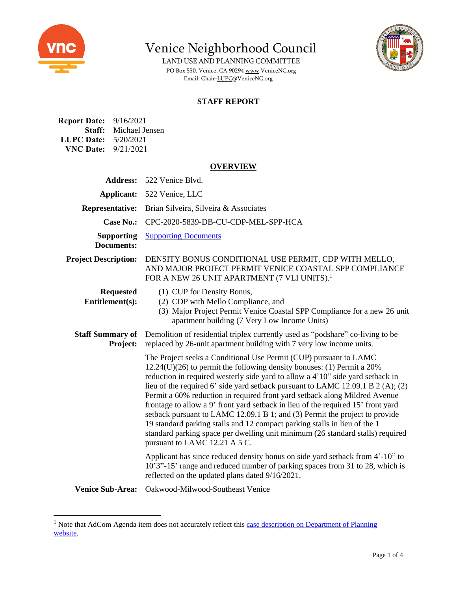

Venice Neighborhood Council

LAND USE AND PLANNING COMMITTEE PO Box 550, Venice, CA 9029[4 www.VeniceNC.org](http://www.venicenc.org/) Email: Chair[-LUPC@VeniceNC.org](mailto:LUPC@VeniceNC.org)



## **STAFF REPORT**

| <b>Report Date:</b> 9/16/2021 |                              |
|-------------------------------|------------------------------|
|                               | <b>Staff:</b> Michael Jensen |
| <b>LUPC Date:</b>             | 5/20/2021                    |
| <b>VNC Date:</b> $9/21/2021$  |                              |

#### **OVERVIEW**

| <b>Address:</b>                        | 522 Venice Blvd.                                                                                                                                                                                                                                                                                                                                                                                                                                                                                                                                                                                                                                                                                                                                                      |
|----------------------------------------|-----------------------------------------------------------------------------------------------------------------------------------------------------------------------------------------------------------------------------------------------------------------------------------------------------------------------------------------------------------------------------------------------------------------------------------------------------------------------------------------------------------------------------------------------------------------------------------------------------------------------------------------------------------------------------------------------------------------------------------------------------------------------|
| Applicant:                             | 522 Venice, LLC                                                                                                                                                                                                                                                                                                                                                                                                                                                                                                                                                                                                                                                                                                                                                       |
| <b>Representative:</b>                 | Brian Silveira, Silveira & Associates                                                                                                                                                                                                                                                                                                                                                                                                                                                                                                                                                                                                                                                                                                                                 |
| <b>Case No.:</b>                       | CPC-2020-5839-DB-CU-CDP-MEL-SPP-HCA                                                                                                                                                                                                                                                                                                                                                                                                                                                                                                                                                                                                                                                                                                                                   |
| <b>Supporting</b><br><b>Documents:</b> | <b>Supporting Documents</b>                                                                                                                                                                                                                                                                                                                                                                                                                                                                                                                                                                                                                                                                                                                                           |
| <b>Project Description:</b>            | DENSITY BONUS CONDITIONAL USE PERMIT, CDP WITH MELLO,<br>AND MAJOR PROJECT PERMIT VENICE COASTAL SPP COMPLIANCE<br>FOR A NEW 26 UNIT APARTMENT (7 VLI UNITS). <sup>1</sup>                                                                                                                                                                                                                                                                                                                                                                                                                                                                                                                                                                                            |
| <b>Requested</b><br>Entitlement(s):    | (1) CUP for Density Bonus,<br>(2) CDP with Mello Compliance, and<br>(3) Major Project Permit Venice Coastal SPP Compliance for a new 26 unit<br>apartment building (7 Very Low Income Units)                                                                                                                                                                                                                                                                                                                                                                                                                                                                                                                                                                          |
| <b>Staff Summary of</b><br>Project:    | Demolition of residential triplex currently used as "podshare" co-living to be<br>replaced by 26-unit apartment building with 7 very low income units.                                                                                                                                                                                                                                                                                                                                                                                                                                                                                                                                                                                                                |
|                                        | The Project seeks a Conditional Use Permit (CUP) pursuant to LAMC<br>$12.24(U)(26)$ to permit the following density bonuses: (1) Permit a 20%<br>reduction in required westerly side yard to allow a 4'10" side yard setback in<br>lieu of the required 6' side yard setback pursuant to LAMC 12.09.1 B $2(A)$ ; (2)<br>Permit a 60% reduction in required front yard setback along Mildred Avenue<br>frontage to allow a 9' front yard setback in lieu of the required 15' front yard<br>setback pursuant to LAMC 12.09.1 B 1; and (3) Permit the project to provide<br>19 standard parking stalls and 12 compact parking stalls in lieu of the 1<br>standard parking space per dwelling unit minimum (26 standard stalls) required<br>pursuant to LAMC 12.21 A 5 C. |
|                                        | Applicant has since reduced density bonus on side yard setback from 4'-10" to<br>10'3"-15' range and reduced number of parking spaces from 31 to 28, which is<br>reflected on the updated plans dated 9/16/2021.                                                                                                                                                                                                                                                                                                                                                                                                                                                                                                                                                      |
| <b>Venice Sub-Area:</b>                | Oakwood-Milwood-Southeast Venice                                                                                                                                                                                                                                                                                                                                                                                                                                                                                                                                                                                                                                                                                                                                      |

<sup>&</sup>lt;sup>1</sup> Note that AdCom Agenda item does not accurately reflect this case description on Department of Planning [website.](https://planning.lacity.org/pdiscaseinfo/search/encoded/MjQwOTQy0)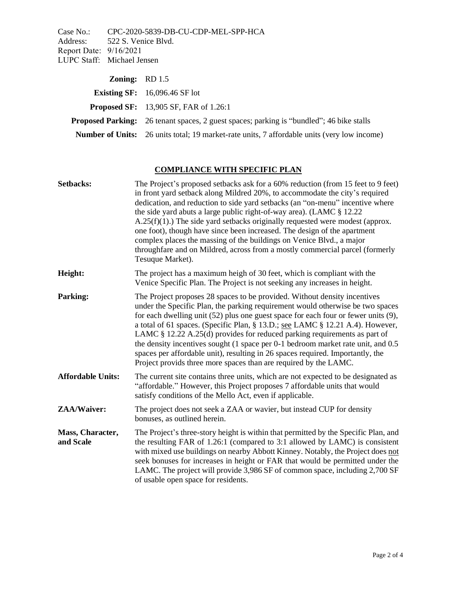Case No.: CPC-2020-5839-DB-CU-CDP-MEL-SPP-HCA<br>Address: 522 S. Venice Blvd. 522 S. Venice Blvd. Report Date: 9/16/2021 LUPC Staff: Michael Jensen

| <b>Zoning:</b> $RD$ 1.5 |                                                                                                    |
|-------------------------|----------------------------------------------------------------------------------------------------|
|                         | <b>Existing SF:</b> $16,096.46$ SF lot                                                             |
|                         | <b>Proposed SF:</b> 13,905 SF, FAR of 1.26:1                                                       |
|                         | <b>Proposed Parking:</b> 26 tenant spaces, 2 guest spaces; parking is "bundled"; 46 bike stalls    |
|                         | <b>Number of Units:</b> 26 units total; 19 market-rate units, 7 affordable units (very low income) |

# **COMPLIANCE WITH SPECIFIC PLAN**

| Setbacks:                     | The Project's proposed setbacks ask for a 60% reduction (from 15 feet to 9 feet)<br>in front yard setback along Mildred 20%, to accommodate the city's required<br>dedication, and reduction to side yard setbacks (an "on-menu" incentive where<br>the side yard abuts a large public right-of-way area). (LAMC § 12.22<br>$A.25(f)(1)$ .) The side yard setbacks originally requested were modest (approx.<br>one foot), though have since been increased. The design of the apartment<br>complex places the massing of the buildings on Venice Blvd., a major<br>throughfare and on Mildred, across from a mostly commercial parcel (formerly<br>Tesuque Market). |
|-------------------------------|----------------------------------------------------------------------------------------------------------------------------------------------------------------------------------------------------------------------------------------------------------------------------------------------------------------------------------------------------------------------------------------------------------------------------------------------------------------------------------------------------------------------------------------------------------------------------------------------------------------------------------------------------------------------|
| Height:                       | The project has a maximum heigh of 30 feet, which is compliant with the<br>Venice Specific Plan. The Project is not seeking any increases in height.                                                                                                                                                                                                                                                                                                                                                                                                                                                                                                                 |
| Parking:                      | The Project proposes 28 spaces to be provided. Without density incentives<br>under the Specific Plan, the parking requirement would otherwise be two spaces<br>for each dwelling unit $(52)$ plus one guest space for each four or fewer units $(9)$ ,<br>a total of 61 spaces. (Specific Plan, § 13.D.; see LAMC § 12.21 A.4). However,<br>LAMC $\S$ 12.22 A.25(d) provides for reduced parking requirements as part of<br>the density incentives sought (1 space per 0-1 bedroom market rate unit, and 0.5<br>spaces per affordable unit), resulting in 26 spaces required. Importantly, the<br>Project provids three more spaces than are required by the LAMC.   |
| <b>Affordable Units:</b>      | The current site contains three units, which are not expected to be designated as<br>"affordable." However, this Project proposes 7 affordable units that would<br>satisfy conditions of the Mello Act, even if applicable.                                                                                                                                                                                                                                                                                                                                                                                                                                          |
| ZAA/Waiver:                   | The project does not seek a ZAA or wavier, but instead CUP for density<br>bonuses, as outlined herein.                                                                                                                                                                                                                                                                                                                                                                                                                                                                                                                                                               |
| Mass, Character,<br>and Scale | The Project's three-story height is within that permitted by the Specific Plan, and<br>the resulting FAR of 1.26:1 (compared to 3:1 allowed by LAMC) is consistent<br>with mixed use buildings on nearby Abbott Kinney. Notably, the Project does not<br>seek bonuses for increases in height or FAR that would be permitted under the<br>LAMC. The project will provide 3,986 SF of common space, including 2,700 SF<br>of usable open space for residents.                                                                                                                                                                                                         |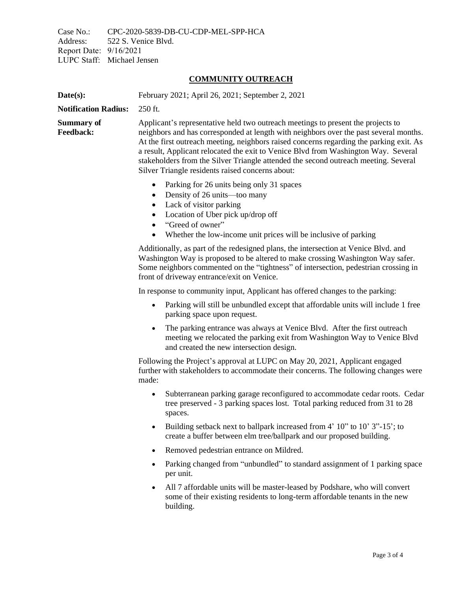Case No.: CPC-2020-5839-DB-CU-CDP-MEL-SPP-HCA<br>Address: 522 S. Venice Blvd. 522 S. Venice Blvd. Report Date: 9/16/2021 LUPC Staff: Michael Jensen

## **COMMUNITY OUTREACH**

| Date(s):                              | February 2021; April 26, 2021; September 2, 2021                                                                                                                                                                                                                                                                                                                                                                                                                                                      |
|---------------------------------------|-------------------------------------------------------------------------------------------------------------------------------------------------------------------------------------------------------------------------------------------------------------------------------------------------------------------------------------------------------------------------------------------------------------------------------------------------------------------------------------------------------|
| <b>Notification Radius:</b>           | 250 ft.                                                                                                                                                                                                                                                                                                                                                                                                                                                                                               |
| <b>Summary of</b><br><b>Feedback:</b> | Applicant's representative held two outreach meetings to present the projects to<br>neighbors and has corresponded at length with neighbors over the past several months.<br>At the first outreach meeting, neighbors raised concerns regarding the parking exit. As<br>a result, Applicant relocated the exit to Venice Blvd from Washington Way. Several<br>stakeholders from the Silver Triangle attended the second outreach meeting. Several<br>Silver Triangle residents raised concerns about: |
|                                       | Parking for 26 units being only 31 spaces<br>$\bullet$<br>Density of 26 units—too many<br>$\bullet$<br>Lack of visitor parking<br>$\bullet$<br>Location of Uber pick up/drop off<br>$\bullet$<br>"Greed of owner"<br>$\bullet$<br>Whether the low-income unit prices will be inclusive of parking<br>$\bullet$                                                                                                                                                                                        |
|                                       | Additionally, as part of the redesigned plans, the intersection at Venice Blvd. and<br>Washington Way is proposed to be altered to make crossing Washington Way safer.<br>Some neighbors commented on the "tightness" of intersection, pedestrian crossing in<br>front of driveway entrance/exit on Venice.                                                                                                                                                                                           |
|                                       | In response to community input, Applicant has offered changes to the parking:                                                                                                                                                                                                                                                                                                                                                                                                                         |
|                                       | Parking will still be unbundled except that affordable units will include 1 free<br>$\bullet$<br>parking space upon request.                                                                                                                                                                                                                                                                                                                                                                          |
|                                       | The parking entrance was always at Venice Blvd. After the first outreach<br>$\bullet$<br>meeting we relocated the parking exit from Washington Way to Venice Blvd<br>and created the new intersection design.                                                                                                                                                                                                                                                                                         |
|                                       | Following the Project's approval at LUPC on May 20, 2021, Applicant engaged<br>further with stakeholders to accommodate their concerns. The following changes were<br>made:                                                                                                                                                                                                                                                                                                                           |
|                                       | Subterranean parking garage reconfigured to accommodate cedar roots. Cedar<br>$\bullet$<br>tree preserved - 3 parking spaces lost. Total parking reduced from 31 to 28<br>spaces.                                                                                                                                                                                                                                                                                                                     |
|                                       | Building setback next to ballpark increased from 4' 10" to 10' 3"-15'; to<br>create a buffer between elm tree/ballpark and our proposed building.                                                                                                                                                                                                                                                                                                                                                     |
|                                       | Removed pedestrian entrance on Mildred.                                                                                                                                                                                                                                                                                                                                                                                                                                                               |
|                                       | Parking changed from "unbundled" to standard assignment of 1 parking space<br>per unit.                                                                                                                                                                                                                                                                                                                                                                                                               |
|                                       | All 7 affordable units will be master-leased by Podshare, who will convert<br>$\bullet$<br>some of their existing residents to long-term affordable tenants in the new<br>building.                                                                                                                                                                                                                                                                                                                   |
|                                       |                                                                                                                                                                                                                                                                                                                                                                                                                                                                                                       |